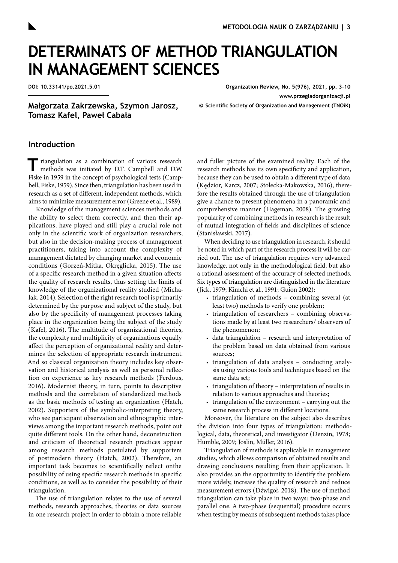# **DETERMINATS OF METHOD TRIANGULATION IN MANAGEMENT SCIENCES**

**DOI: 10.33141/po.2021.5.01**

**Organization Review, No. 5(976), 2021, pp. 3-10 [www.przegladorganizacji.pl](http://www.przegladorganizacji.pl)**

**Małgorzata Zakrzewska, Szymon Jarosz, Tomasz Kafel, Paweł Cabała**

**© Scientific Society of Organization and Management (TNOiK)**

### **Introduction**

Triangulation as a combination of various research methods was initiated by D.T. Campbell and D.W. Fiske in 1959 in the concept of psychological tests [\(Camp](#page-5-0)[bell, Fiske, 1959\).](#page-5-0) Since then, triangulation has been used in research as a set of different, independent methods, which aims to minimize measurement error [\(Greene et al., 1989\).](#page-5-0)

Knowledge of the management sciences methods and the ability to select them correctly, and then their applications, have played and still play a crucial role not only in the scientific work of organization researchers, but also in the decision-making process of management practitioners, taking into account the complexity of management dictated by changing market and economic conditions [\(Gorzeń-Mitka, Okręglicka, 2015\).](#page-5-0) The use of a specific research method in a given situation affects the quality of research results, thus setting the limits of knowledge of the organizational reality studied [\(Micha](#page-5-0)[lak, 2014\).](#page-5-0) Selection of the right research tool is primarily determined by the purpose and subject of the study, but also by the specificity of management processes taking place in the organization being the subject of the study [\(Kafel, 2016\).](#page-5-0) The multitude of organizational theories, the complexity and multiplicity of organizations equally affect the perception of organizational reality and determines the selection of appropriate research instrument. And so classical organization theory includes key observation and historical analysis as well as personal reflection on experience as key research methods [\(Ferdous,](#page-5-0)  [2016\).](#page-5-0) Modernist theory, in turn, points to descriptive methods and the correlation of standardized methods as the basic methods of testing an organization [\(Hatch,](#page-5-0)  [2002\).](#page-5-0) Supporters of the symbolic-interpreting theory, who see participant observation and ethnographic interviews among the important research methods, point out quite different tools. On the other hand, deconstruction and criticism of theoretical research practices appear among research methods postulated by supporters of postmodern theory [\(Hatch, 2002\)](#page-5-0). Therefore, an important task becomes to scientifically reflect onthe possibility of using specific research methods in specific conditions, as well as to consider the possibility of their triangulation.

The use of triangulation relates to the use of several methods, research approaches, theories or data sources in one research project in order to obtain a more reliable

and fuller picture of the examined reality. Each of the research methods has its own specificity and application, because they can be used to obtain a different type of data [\(Kędzior, Karcz, 2007; Stolecka-Makowska, 2016\)](#page-5-0), therefore the results obtained through the use of triangulation give a chance to present phenomena in a panoramic and comprehensive manner [\(Hageman, 2008\).](#page-5-0) The growing popularity of combining methods in research is the result of mutual integration of fields and disciplines of science [\(Stanisławski, 2017\).](#page-5-0)

When deciding to use triangulation in research, it should be noted in which part of the research process it will be carried out. The use of triangulation requires very advanced knowledge, not only in the methodological field, but also a rational assessment of the accuracy of selected methods. Six types of triangulation are distinguished in the literature [\(Jick, 1979; Kimchi et al., 1991; Guion 2002\)](#page-5-0):

- triangulation of methods combining several (at least two) methods to verify one problem;
- triangulation of researchers combining observations made by at least two researchers/ observers of the phenomenon;
- data triangulation research and interpretation of the problem based on data obtained from various sources;
- triangulation of data analysis conducting analysis using various tools and techniques based on the same data set;
- triangulation of theory interpretation of results in relation to various approaches and theories;
- triangulation of the environment carrying out the same research process in different locations.

Moreover, the literature on the subject also describes the division into four types of triangulation: methodological, data, theoretical, and investigator [\(Denzin, 1978;](#page-5-0) [Humble, 2009; Joslin, Müller, 2016\)](#page-5-0).

Triangulation of methods is applicable in management studies, which allows comparison of obtained results and drawing conclusions resulting from their application. It also provides an the opportunity to identify the problem more widely, increase the quality of research and reduce measurement errors [\(Dźwigoł, 2018\).](#page-5-0) The use of method triangulation can take place in two ways: two-phase and parallel one. A two-phase (sequential) procedure occurs when testing by means of subsequent methods takes place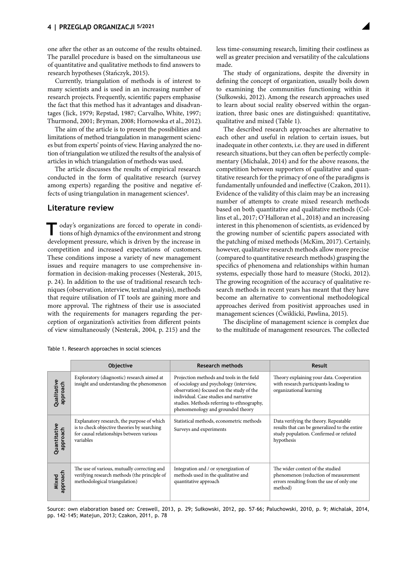one after the other as an outcome of the results obtained. The parallel procedure is based on the simultaneous use of quantitative and qualitative methods to find answers to research hypotheses [\(Stańczyk, 2015\)](#page-5-0).

Currently, triangulation of methods is of interest to many scientists and is used in an increasing number of research projects. Frequently, scientific papers emphasise the fact that this method has it advantages and disadvantages [\(Jick, 1979; Repstad, 1987; Carvalho, White, 1997;](#page-5-0)  [Thurmond, 2001; Bryman, 2008; Hornowska et al., 2012\).](#page-5-0)

The aim of the article is to present the possibilities and limitations of method triangulation in management sciences but from experts' points of view. Having analyzed the notion of triangulation we utilized the results of the analysis of articles in which triangulation of methods was used.

The article discusses the results of empirical research conducted in the form of qualitative research (survey among experts) regarding the positive and negative effects of using triangulation in management sciences**[1](#page-5-0)** .

## **Literature review**

oday's organizations are forced to operate in conditions of high dynamics of the environment and strong development pressure, which is driven by the increase in competition and increased expectations of customers. These conditions impose a variety of new management issues and require managers to use comprehensive information in decision-making processes [\(Nesterak, 2015,](#page-5-0)  [p. 24\).](#page-5-0) In addition to the use of traditional research techniques (observation, interview, textual analysis), methods that require utilisation of IT tools are gaining more and more approval. The rightness of their use is associated with the requirements for managers regarding the perception of organization's activities from different points of view simultaneously [\(Nesterak, 2004, p. 215\)](#page-5-0) and the

less time-consuming research, limiting their costliness as well as greater precision and versatility of the calculations made.

The study of organizations, despite the diversity in defining the concept of organization, usually boils down to examining the communities functioning within it [\(Sułkowski, 2012\).](#page-5-0) Among the research approaches used to learn about social reality observed within the organization, three basic ones are distinguished: quantitative, qualitative and mixed (Table 1).

The described research approaches are alternative to each other and useful in relation to certain issues, but inadequate in other contexts, i.e. they are used in different research situations, but they can often be perfectly complementary [\(Michalak, 2014\)](#page-5-0) and for the above reasons, the competition between supporters of qualitative and quantitative research for the primacy of one of the paradigms is fundamentally unfounded and ineffective [\(Czakon, 2011\)](#page-5-0). Evidence of the validity of this claim may be an increasing number of attempts to create mixed research methods based on both quantitative and qualitative methods [\(Col](#page-5-0)[lins et al., 2017; O'Halloran et al., 2018\)](#page-5-0) and an increasing interest in this phenomenon of scientists, as evidenced by the growing number of scientific papers associated with the patching of mixed methods [\(McKim, 2017\).](#page-5-0) Certainly, however, qualitative research methods allow more precise (compared to quantitative research methods) grasping the specifics of phenomena and relationships within human systems, especially those hard to measure [\(Stocki, 2012\).](#page-5-0) The growing recognition of the accuracy of qualitative research methods in recent years has meant that they have become an alternative to conventional methodological approaches derived from positivist approaches used in management sciences [\(Ćwiklicki, Pawlina, 2015\).](#page-5-0)

The discipline of management science is complex due to the multitude of management resources. The collected

|                          | <b>Objective</b>                                                                                                                                   | <b>Research methods</b>                                                                                                                                                                                                                                       | <b>Result</b>                                                                                                                                  |
|--------------------------|----------------------------------------------------------------------------------------------------------------------------------------------------|---------------------------------------------------------------------------------------------------------------------------------------------------------------------------------------------------------------------------------------------------------------|------------------------------------------------------------------------------------------------------------------------------------------------|
| Qualitative<br>approach  | Exploratory (diagnostic) research aimed at<br>insight and understanding the phenomenon                                                             | Projection methods and tools in the field<br>of sociology and psychology (interview,<br>observation) focused on the study of the<br>individual. Case studies and narrative<br>studies. Methods referring to ethnography,<br>phenomenology and grounded theory | Theory explaining your data. Cooperation<br>with research participants leading to<br>organizational learning                                   |
| Quantitative<br>approach | Explanatory research, the purpose of which<br>is to check objective theories by searching<br>for causal relationships between various<br>variables | Statistical methods, econometric methods<br>Surveys and experiments                                                                                                                                                                                           | Data verifying the theory. Repeatable<br>results that can be generalized to the entire<br>study population. Confirmed or refuted<br>hypothesis |
| Mixed<br>approach        | The use of various, mutually correcting and<br>verifying research methods (the principle of<br>methodological triangulation)                       | Integration and / or synergization of<br>methods used in the qualitative and<br>quantitative approach                                                                                                                                                         | The wider context of the studied<br>phenomenon (reduction of measurement<br>errors resulting from the use of only one<br>method)               |

Table 1. Research approaches in social sciences

Source: own elaboration based on: Creswell, 2013, p. 29; Sułkowski, 2012, pp. 57–66; Paluchowski, 2010, p. 9; Michalak, 2014, pp. 142–145; Matejun, 2013; Czakon, 2011, p. 78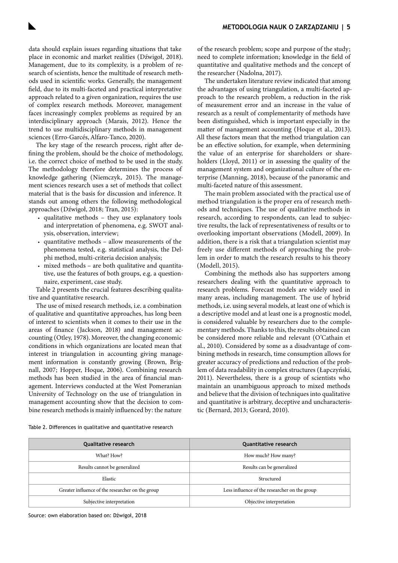data should explain issues regarding situations that take place in economic and market realities [\(Dźwigoł, 2018\)](#page-5-0). Management, due to its complexity, is a problem of research of scientists, hence the multitude of research methods used in scientific works. Generally, the management field, due to its multi-faceted and practical interpretative approach related to a given organization, requires the use of complex research methods. Moreover, management faces increasingly complex problems as required by an interdisciplinary approach [\(Marais, 2012\)](#page-5-0). Hence the trend to use multidisciplinary methods in management sciences [\(Erro-Garcés, Alfaro-Tanco, 2020\)](#page-5-0).

The key stage of the research process, right after defining the problem, should be the choice of methodology, i.e. the correct choice of method to be used in the study. The methodology therefore determines the process of knowledge gathering [\(Niemczyk, 2015\).](#page-5-0) The management sciences research uses a set of methods that collect material that is the basis for discussion and inference. It stands out among others the following methodological approaches [\(Dźwigoł, 2018; Tran, 2015\):](#page-5-0)

- qualitative methods they use explanatory tools and interpretation of phenomena, e.g. SWOT analysis, observation, interview;
- quantitative methods allow measurements of the phenomena tested, e.g. statistical analysis, the Delphi method, multi-criteria decision analysis;
- mixed methods are both qualitative and quantitative, use the features of both groups, e.g. a questionnaire, experiment, case study.

Table 2 presents the crucial features describing qualitative and quantitative research.

The use of mixed research methods, i.e. a combination of qualitative and quantitative approaches, has long been of interest to scientists when it comes to their use in the areas of finance [\(Jackson, 2018\)](#page-5-0) and management accounting [\(Otley, 1978\).](#page-5-0) Moreover, the changing economic conditions in which organizations are located mean that interest in triangulation in accounting giving management information is constantly growing [\(Brown, Brig](#page-5-0)[nall, 2007; Hopper, Hoque, 2006\).](#page-5-0) Combining research methods has been studied in the area of financial management. Interviews conducted at the West Pomeranian University of Technology on the use of triangulation in management accounting show that the decision to combine research methods is mainly influenced by: the nature

of the research problem; scope and purpose of the study; need to complete information; knowledge in the field of quantitative and qualitative methods and the concept of the researcher [\(Nadolna, 2017\).](#page-5-0)

The undertaken literature review indicated that among the advantages of using triangulation, a multi-faceted approach to the research problem, a reduction in the risk of measurement error and an increase in the value of research as a result of complementarity of methods have been distinguished, which is important especially in the matter of management accounting [\(Hoque et al., 2013\).](#page-5-0) All these factors mean that the method triangulation can be an effective solution, for example, when determining the value of an enterprise for shareholders or shareholders [\(Lloyd, 2011\)](#page-5-0) or in assessing the quality of the management system and organizational culture of the enterprise [\(Manning, 2018\),](#page-5-0) because of the panoramic and multi-faceted nature of this assessment.

The main problem associated with the practical use of method triangulation is the proper era of research methods and techniques. The use of qualitative methods in research, according to respondents, can lead to subjective results, the lack of representativeness of results or to overlooking important observations [\(Modell, 2009\).](#page-5-0) In addition, there is a risk that a triangulation scientist may freely use different methods of approaching the problem in order to match the research results to his theory [\(Modell, 2015\)](#page-5-0).

Combining the methods also has supporters among researchers dealing with the quantitative approach to research problems. Forecast models are widely used in many areas, including management. The use of hybrid methods, i.e. using several models, at least one of which is a descriptive model and at least one is a prognostic model, is considered valuable by researchers due to the complementary methods. Thanks to this, the results obtained can be considered more reliable and relevant [\(O'Cathain et](#page-5-0) [al., 2010\)](#page-5-0). Considered by some as a disadvantage of combining methods in research, time consumption allows for greater accuracy of predictions and reduction of the problem of data readability in complex structures [\(Łapczyński,](#page-5-0)  [2011\).](#page-5-0) Nevertheless, there is a group of scientists who maintain an unambiguous approach to mixed methods and believe that the division of techniques into qualitative and quantitative is arbitrary, deceptive and uncharacteristic [\(Bernard, 2013; Gorard, 2010\)](#page-5-0).

Table 2. Differences in qualitative and quantitative research

| <b>Qualitative research</b>                      | <b>Quantitative research</b>                  |  |
|--------------------------------------------------|-----------------------------------------------|--|
| What? How?                                       | How much? How many?                           |  |
| Results cannot be generalized                    | Results can be generalized                    |  |
| Elastic                                          | Structured                                    |  |
| Greater influence of the researcher on the group | Less influence of the researcher on the group |  |
| Subjective interpretation                        | Objective interpretation                      |  |

Source: own elaboration based on: Dźwigoł, 2018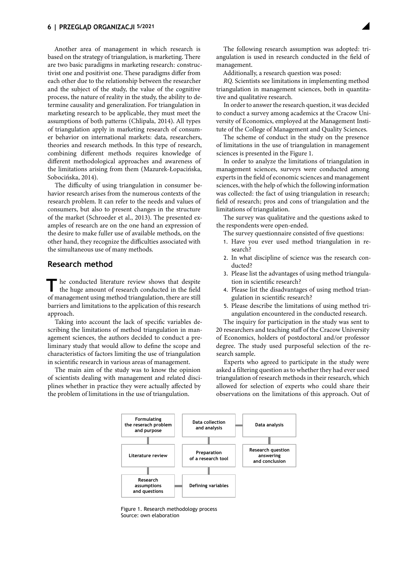Another area of management in which research is based on the strategy of triangulation, is marketing. There are two basic paradigms in marketing research: constructivist one and positivist one. These paradigms differ from each other due to the relationship between the researcher and the subject of the study, the value of the cognitive process, the nature of reality in the study, the ability to determine causality and generalization. For triangulation in marketing research to be applicable, they must meet the assumptions of both patterns [\(Chlipała, 2014\).](#page-5-0) All types of triangulation apply in marketing research of consumer behavior on international markets: data, researchers, theories and research methods. In this type of research, combining different methods requires knowledge of different methodological approaches and awareness of the limitations arising from them [\(Mazurek-Łopacińska,](#page-5-0)  [Sobocińska, 2014\).](#page-5-0)

The difficulty of using triangulation in consumer behavior research arises from the numerous contexts of the research problem. It can refer to the needs and values of consumers, but also to present changes in the structure of the market [\(Schroeder et al., 2013\).](#page-5-0) The presented examples of research are on the one hand an expression of the desire to make fuller use of available methods, on the other hand, they recognize the difficulties associated with the simultaneous use of many methods.

## **Research method**

The conducted literature review shows that despite the huge amount of research conducted in the field of management using method triangulation, there are still barriers and limitations to the application of this research approach.

Taking into account the lack of specific variables describing the limitations of method triangulation in management sciences, the authors decided to conduct a preliminary study that would allow to define the scope and characteristics of factors limiting the use of triangulation in scientific research in various areas of management.

The main aim of the study was to know the opinion of scientists dealing with management and related disciplines whether in practice they were actually affected by the problem of limitations in the use of triangulation.

The following research assumption was adopted: triangulation is used in research conducted in the field of management.

Additionally, a research question was posed:

*RQ.* Scientists see limitations in implementing method triangulation in management sciences, both in quantitative and qualitative research.

In order to answer the research question, it was decided to conduct a survey among academics at the Cracow University of Economics, employed at the Management Institute of the College of Management and Quality Sciences.

The scheme of conduct in the study on the presence of limitations in the use of triangulation in management sciences is presented in the Figure 1.

In order to analyze the limitations of triangulation in management sciences, surveys were conducted among experts in the field of economic sciences and management sciences, with the help of which the following information was collected: the fact of using triangulation in research; field of research; pros and cons of triangulation and the limitations of triangulation.

The survey was qualitative and the questions asked to the respondents were open-ended.

The survey questionnaire consisted of five questions:

- 1. Have you ever used method triangulation in research?
- 2. In what discipline of science was the research conducted?
- 3. Please list the advantages of using method triangulation in scientific research?
- 4. Please list the disadvantages of using method triangulation in scientific research?
- 5. Please describe the limitations of using method triangulation encountered in the conducted research.

The inquiry for participation in the study was sent to 20 researchers and teaching staff of the Cracow University of Economics, holders of postdoctoral and/or professor degree. The study used purposeful selection of the research sample.

Experts who agreed to participate in the study were asked a filtering question as to whether they had ever used triangulation of research methods in their research, which allowed for selection of experts who could share their observations on the limitations of this approach. Out of



Figure 1. Research methodology process Source: own elaboration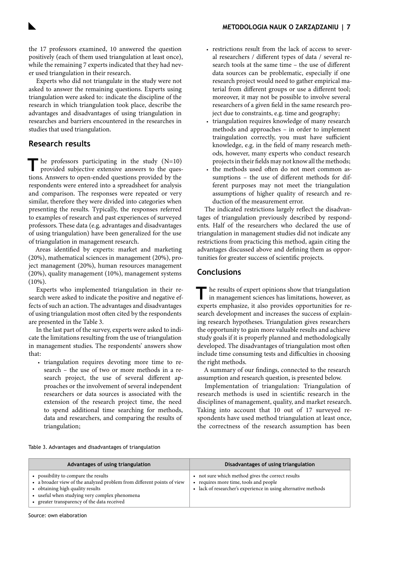the 17 professors examined, 10 answered the question positively (each of them used triangulation at least once), while the remaining 7 experts indicated that they had never used triangulation in their research.

Experts who did not triangulate in the study were not asked to answer the remaining questions. Experts using triangulation were asked to: indicate the discipline of the research in which triangulation took place, describe the advantages and disadvantages of using triangulation in researches and barriers encountered in the researches in studies that used triangulation.

# **Research results**

he professors participating in the study (N=10) provided subjective extensive answers to the questions. Answers to open-ended questions provided by the respondents were entered into a spreadsheet for analysis and comparison. The responses were repeated or very similar, therefore they were divided into categories when presenting the results. Typically, the responses referred to examples of research and past experiences of surveyed professors. These data (e.g. advantages and disadvantages of using triangulation) have been generalized for the use of triangulation in management research.

Areas identified by experts: market and marketing (20%), mathematical sciences in management (20%), project management (20%), human resources management (20%), quality management (10%), management systems  $(10\%)$ .

Experts who implemented triangulation in their research were asked to indicate the positive and negative effects of such an action. The advantages and disadvantages of using triangulation most often cited by the respondents are presented in the Table 3.

In the last part of the survey, experts were asked to indicate the limitations resulting from the use of triangulation in management studies. The respondents' answers show that:

• triangulation requires devoting more time to research – the use of two or more methods in a research project, the use of several different approaches or the involvement of several independent researchers or data sources is associated with the extension of the research project time, the need to spend additional time searching for methods, data and researchers, and comparing the results of triangulation;

- restrictions result from the lack of access to several researchers / different types of data / several research tools at the same time – the use of different data sources can be problematic, especially if one research project would need to gather empirical material from different groups or use a different tool; moreover, it may not be possible to involve several researchers of a given field in the same research project due to constraints, e.g. time and geography;
- triangulation requires knowledge of many research methods and approaches – in order to implement traingulation correctly, you must have sufficient knowledge, e.g. in the field of many research methods, however, many experts who conduct research projects in their fields may not know all the methods;
- the methods used often do not meet common assumptions – the use of different methods for different purposes may not meet the triangulation assumptions of higher quality of research and reduction of the measurement error.

The indicated restrictions largely reflect the disadvantages of triangulation previously described by respondents. Half of the researchers who declared the use of triangulation in management studies did not indicate any restrictions from practicing this method, again citing the advantages discussed above and defining them as opportunities for greater success of scientific projects.

# **Conclusions**

**T**he results of expert opinions show that triangulation in management sciences has limitations, however, as experts emphasize, it also provides opportunities for research development and increases the success of explaining research hypotheses. Triangulation gives researchers the opportunity to gain more valuable results and achieve study goals if it is properly planned and methodologically developed. The disadvantages of triangulation most often include time consuming tests and difficulties in choosing the right methods.

A summary of our findings, connected to the research assumption and research question, is presented below.

Implementation of triangulation: Triangulation of research methods is used in scientific research in the disciplines of management, quality, and market research. Taking into account that 10 out of 17 surveyed respondents have used method triangulation at least once, the correctness of the research assumption has been

| Table 3. Advantages and disadvantages of triangulation |  |  |
|--------------------------------------------------------|--|--|
|--------------------------------------------------------|--|--|

| Advantages of using triangulation                                                                                                                                                                                                                  | Disadvantages of using triangulation                                                                                                                      |
|----------------------------------------------------------------------------------------------------------------------------------------------------------------------------------------------------------------------------------------------------|-----------------------------------------------------------------------------------------------------------------------------------------------------------|
| • possibility to compare the results<br>• a broader view of the analyzed problem from different points of view<br>• obtaining high quality results<br>• useful when studying very complex phenomena<br>• greater transparency of the data received | not sure which method gives the correct results<br>requires more time, tools and people<br>• lack of researcher's experience in using alternative methods |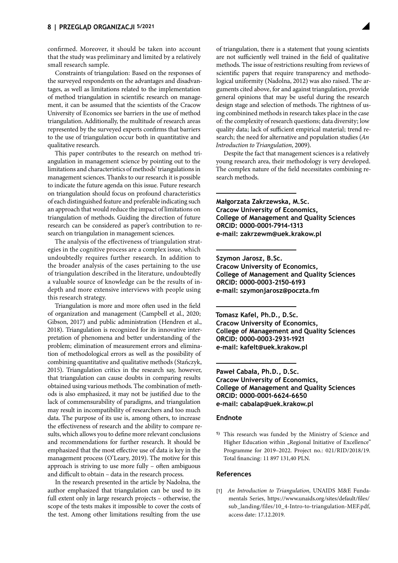<span id="page-5-0"></span>confirmed. Moreover, it should be taken into account that the study was preliminary and limited by a relatively small research sample.

Constraints of triangulation: Based on the responses of the surveyed respondents on the advantages and disadvantages, as well as limitations related to the implementation of method triangulation in scientific research on management, it can be assumed that the scientists of the Cracow University of Economics see barriers in the use of method triangulation. Additionally, the multitude of research areas represented by the surveyed experts confirms that barriers to the use of triangulation occur both in quantitative and qualitative research.

This paper contributes to the research on method triangulation in management science by pointing out to the limitations and characteristics of methods' triangulations in management sciences. Thanks to our research it is possible to indicate the future agenda on this issue. Future research on triangulation should focus on profound characteristics of each distinguished feature and preferable indicating such an approach that would reduce the impact of limitations on triangulation of methods. Guiding the direction of future research can be considered as paper's contribution to research on triangulation in management sciences.

The analysis of the effectiveness of triangulation strategies in the cognitive process are a complex issue, which undoubtedly requires further research. In addition to the broader analysis of the cases pertaining to the use of triangulation described in the literature, undoubtedly a valuable source of knowledge can be the results of indepth and more extensive interviews with people using this research strategy.

Triangulation is more and more often used in the field of organization and management (Campbell et al., 2020; Gibson, 2017) and public administration (Hendren et al., 2018). Triangulation is recognized for its innovative interpretation of phenomena and better understanding of the problem; elimination of measurement errors and elimination of methodological errors as well as the possibility of combining quantitative and qualitative methods (Stańczyk, 2015). Triangulation critics in the research say, however, that triangulation can cause doubts in comparing results obtained using various methods. The combination of methods is also emphasized, it may not be justified due to the lack of commensurability of paradigms, and triangulation may result in incompatibility of researchers and too much data. The purpose of its use is, among others, to increase the effectiveness of research and the ability to compare results, which allows you to define more relevant conclusions and recommendations for further research. It should be emphasized that the most effective use of data is key in the management process (O'Leary, 2019). The motive for this approach is striving to use more fully – often ambiguous and difficult to obtain – data in the research process.

In the research presented in the article by Nadolna, the author emphasized that triangulation can be used to its full extent only in large research projects – otherwise, the scope of the tests makes it impossible to cover the costs of the test. Among other limitations resulting from the use

of triangulation, there is a statement that young scientists are not sufficiently well trained in the field of qualitative methods. The issue of restrictions resulting from reviews of scientific papers that require transparency and methodological uniformity (Nadolna, 2012) was also raised. The arguments cited above, for and against triangulation, provide general opinions that may be useful during the research design stage and selection of methods. The rightness of using combinined methods in research takes place in the case of: the complexity of research questions; data diversity; low quality data; lack of sufficient empirical material; trend research; the need for alternative and population studies (*An Introduction to Triangulation*, 2009).

Despite the fact that management sciences is a relatively young research area, their methodology is very developed. The complex nature of the field necessitates combining research methods.

**Małgorzata Zakrzewska, M.Sc. Cracow University of Economics, College of Management and Quality Sciences ORCID: 0000-0001-7914-1313 e-mail: [zakrzewm@uek.krakow.pl](mailto:zakrzewm%40uek.krakow.pl?subject=)**

**Szymon Jarosz, B.Sc. Cracow University of Economics, College of Management and Quality Sciences ORCID: 0000-0003-2150-6193 e-mail: [szymonjarosz@poczta.fm](mailto:szymonjarosz%40poczta.fm?subject=)**

**Tomasz Kafel, Ph.D., D.Sc. Cracow University of Economics, College of Management and Quality Sciences ORCID: 0000-0003-2931-1921 e-mail: [kafelt@uek.krakow.pl](mailto:kafelt%40uek.krakow.pl?subject=)**

**Paweł Cabała, Ph.D., D.Sc. Cracow University of Economics, College of Management and Quality Sciences ORCID: 0000-0001-6624-6650 e-mail: [cabalap@uek.krakow.pl](mailto:cabalap%40uek.krakow.pl?subject=)**

#### **Endnote**

**1)** This research was funded by the Ministry of Science and Higher Education within "Regional Initiative of Excellence" Programme for 2019–2022. Project no.: 021/RID/2018/19. Total financing: 11 897 131,40 PLN.

#### **References**

[1] *An Introduction to Triangulation*, UNAIDS M&E Fundamentals Series, [https://www.unaids.org/sites/default/files/](https://www.unaids.org/sites/default/files/sub_landing/files/10_4-Intro-to-triangulation-MEF.pdf) [sub\\_landing/files/10\\_4-Intro-to-triangulation-MEF.pdf](https://www.unaids.org/sites/default/files/sub_landing/files/10_4-Intro-to-triangulation-MEF.pdf), access date: 17.12.2019.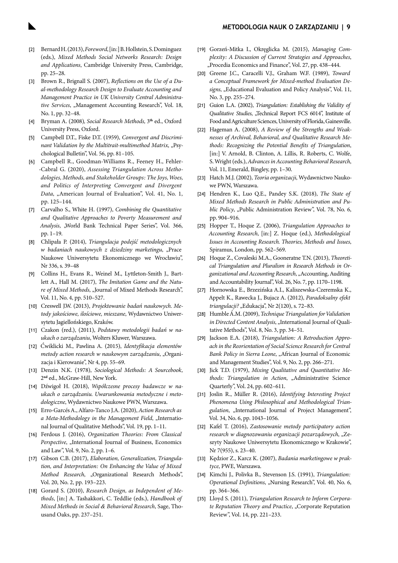#### **METODOLOGIA NAUK O ZARZĄDZANIU | 9**

- [2] Bernard H. (2013), *Foreword*, [in:] B. Hollstein, S. Dominguez (eds.), *Mixed Methods Social Networks Research: Design and Applications*, Cambridge University Press, Cambridge, pp. 25–28.
- [3] Brown R., Brignall S. (2007), *Reflections on the Use of a Dual-methodology Research Design to Evaluate Accounting and Management Practice in UK University Central Administrative Services*, "Management Accounting Research", Vol. 18, No. 1, pp. 32–48.
- [4] Bryman A. (2008)*, Social Research Methods,* 3**th** ed., Oxford University Press, Oxford.
- [5] Campbell D.T., Fiske D.T. (1959), *Convergent and Discriminant Validation by the Multitrait-multimethod Matrix, "Psy*chological Bulletin", Vol. 56, pp. 81–105.
- [6] Campbell R., Goodman-Williams R., Feeney H., Fehler- -Cabral G. (2020), *Assessing Triangulation Across Methodologies, Methods, and Stakeholder Groups: The Joys, Woes, and Politics of Interpreting Convergent and Divergent*  Data, "American Journal of Evaluation", Vol. 41, No. 1, pp. 125–144.
- [7] Carvalho S., White H. (1997), *Combining the Quantitative and Qualitative Approaches to Poverty Measurement and Analysis*, "World Bank Technical Paper Series", Vol. 366, pp. 1–19.
- [8] Chlipała P. (2014), *Triangulacja podejść metodologicznych w badaniach naukowych z dziedziny marketingu*, "Prace Naukowe Uniwersytetu Ekonomicznego we Wrocławiu", Nr 336, s. 39–48
- [9] Collins H., Evans R., Weinel M., Lyttleton-Smith J., Bartlett A., Hall M. (2017), *The Imitation Game and the Nature of Mixed Methods*, "Journal of Mixed Methods Research", Vol. 11, No. 4, pp. 510–527.
- [10] Creswell J.W. (2013), *Projektowanie badań naukowych. Metody jakościowe, ilościowe, mieszane*, Wydawnictwo Uniwersytetu Jagiellońskiego, Kraków.
- [11] Czakon (red.), (2011), *Podstawy metodologii badań w naukach o zarządzaniu*, Wolters Kluwer, Warszawa.
- [12] Ćwiklicki M., Pawlina A. (2015), *Identyfikacja elementów metody action research w naukowym zarządzaniu*, "Organizacja i Kierowanie", Nr 4, pp. 55–69.
- [13] Denzin N.K. (1978), *Sociological Methods: A Sourcebook,*  2**nd** ed., McGraw-Hill, New York.
- [14] Dźwigoł H. (2018), *Współczesne procesy badawcze w naukach o zarządzaniu. Uwarunkowania metodyczne i metodologiczne*, Wydawnictwo Naukowe PWN, Warszawa.
- [15] Erro-Garcés A., Alfaro-Tanco J.A. (2020), *Action Research as*  a Meta-Methodology in the Management Field, "International Journal of Qualitative Methods", Vol. 19, pp. 1–11.
- [16] Ferdous J. (2016), *Organization Theories: From Classical Perspective*, "International Journal of Business, Economics and Law", Vol. 9, No. 2, pp. 1–6.
- [17] Gibson C.B. (2017), *Elaboration, Generalization, Triangulation, and Interpretation: On Enhancing the Value of Mixed Method Research*, "Organizational Research Methods", Vol. 20, No. 2, pp. 193–223.
- [18] Gorard S. (2010), *Research Design, as Independent of Methods*, [in:] A. Tashakkori, C. Teddlie (eds.), *Handbook of Mixed Methods in Social & Behavioral Research*, Sage, Thousand Oaks, pp. 237–251.
- [19] Gorzeń-Mitka I., Okręglicka M. (2015), *Managing Complexity: A Discussion of Current Strategies and Approaches*, "Procedia Economics and Finance", Vol. 27, pp. 438-444.
- [20] Greene J.C., Caracelli V.J., Graham W.F. (1989), *Toward a Conceptual Framework for Mixed-method Evaluation De*signs, "Educational Evaluation and Policy Analysis", Vol. 11, No. 3, pp. 255–274.
- [21] Guion L.A. (2002), *Triangulation: Establishing the Validity of Qualitative Studies*, "Technical Report FCS 6014", Institute of Food and Agriculture Sciences, University of Florida, Gainesville.
- [22] Hageman A. (2008), *A Review of the Strengths and Weaknesses of Archival, Behavioral, and Qualitative Research Methods: Recognizing the Potential Benefits of Triangulation*, [in:] V. Arnold, B. Clinton, A. Lillis, R. Roberts, C. Wolfe, S. Wright (eds.), *Advances in Accounting Behavioral Research*, Vol. 11, Emerald, Bingley, pp. 1–30.
- [23] Hatch M.J. (2002), *Teoria organizacji*, Wydawnictwo Naukowe PWN, Warszawa.
- [24] Hendren K., Luo Q.E., Pandey S.K. (2018), *The State of Mixed Methods Research in Public Administration and Public Policy*, "Public Administration Review", Vol. 78, No. 6, pp. 904–916.
- [25] Hopper T., Hoque Z. (2006), *Triangulation Approaches to Accounting Research*, [in:] Z. Hoque (ed.), *Methodological Issues in Accounting Research. Theories, Methods and Issues*, Spiramus, London, pp. 562–569.
- [26] Hoque Z., Covaleski M.A., Gooneratne T.N. (2013), *Theoretical Triangulation and Pluralism in Research Methods in Organizational and Accounting Research*, "Accounting, Auditing and Accountability Journal", Vol. 26, No. 7, pp. 1170–1198.
- [27] Hornowska E., Brzezińska A.I., Kaliszewska-Czeremska K., Appelt K., Rawecka J., Bujacz A. (2012), *Paradoksalny efekt triangulacji?* "Edukacja", Nr 2(120), s. 72-83.
- [28] Humble Á.M. (2009), *Technique Triangulation for Validation in Directed Content Analysis*, "International Journal of Qualitative Methods", Vol. 8, No. 3, pp. 34–51.
- [29] Jackson E.A. (2018), *Triangulation: A Retroduction Approach in the Reorientation of Social Science Research for Central Bank Policy in Sierra Leone*, "African Journal of Economic and Management Studies", Vol. 9, No. 2, pp. 266–271.
- [30] Jick T.D. (1979), *Mixing Qualitative and Quantitative Methods: Triangulation in Action*, "Administrative Science Quarterly", Vol. 24, pp. 602–611.
- [31] Joslin R., Müller R. (2016), *Identifying Interesting Project Phenomena Using Philosophical and Methodological Trian*gulation, "International Journal of Project Management", Vol. 34, No. 6, pp. 1043–1056.
- [32] Kafel T. (2016), *Zastosowanie metody participatory action*  research w diagnozowaniu organizacji pozarządowych, "Zeszyty Naukowe Uniwersytetu Ekonomicznego w Krakowie", Nr 7(955), s. 23–40.
- [33] Kędzior Z., Karcz K. (2007), *Badania marketingowe w praktyce*, PWE, Warszawa.
- [34] Kimchi J., Polivka B., Stevenson J.S. (1991), *Triangulation: Operational Definitions*, "Nursing Research", Vol. 40, No. 6, pp. 364–366.
- [35] Lloyd S. (2011), *Triangulation Research to Inform Corporate Reputation Theory and Practice*, "Corporate Reputation Review", Vol. 14, pp. 221–233.